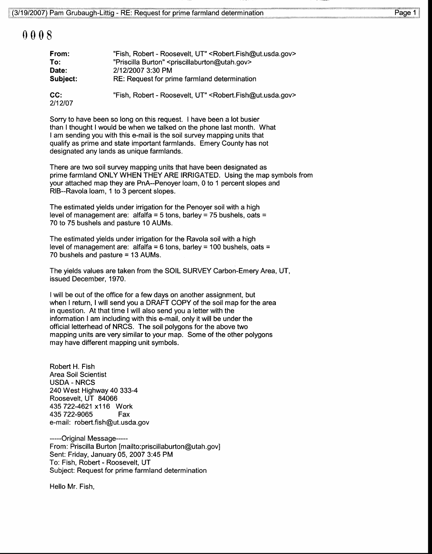## 0008

| From:          | "Fish, Robert - Roosevelt, UT" < Robert. Fish@ut.usda.gov>               |
|----------------|--------------------------------------------------------------------------|
| To:            | "Priscilla Burton" <priscillaburton@utah.gov></priscillaburton@utah.gov> |
| Date:          | 2/12/2007 3:30 PM                                                        |
| Subject:       | RE: Request for prime farmland determination                             |
| CC:<br>2/12/07 | "Fish, Robert - Roosevelt, UT" < Robert. Fish@ut.usda.gov>               |

Sorry to have been so long on this request. I have been a lot busier than I thought I would be when we talked on the phone last month. What I am sending you with this e-mail is the soil survey mapping units that qualify as prime and state important farmlands. Emery County has not designated any lands as unique farmlands.

There are two soil survey mapping units that have been designated as prime farmland ONLY WHEN THEY ARE IRRIGATED. Using the map symbols from your attached map they are PnA-Penoyer loam, 0 to 1 percent slopes and RIB-Ravola loam, 1 to 3 percent slopes.

The estimated yields under irrigation for the Penoyer soil with a high level of management are: alfalfa = 5 tons, barley = 75 bushels, oats = 70 to 75 bushels and pasture 10 AUMs.

The estimated yields under irrigation for the Ravola soil with a high level of management are: alfalfa = 6 tons, barley = 100 bushels, oats = 70 bushels and pasture = 13 AUMs.

The yields values are taken from the SOIL SURVEY Carbon-Emery Area, UT, issued December, 1970.

I will be out of the office for a few days on another assignment, but when I return, I will send you a DRAFT COPY of the soil map for the area in question. At that time I will also send you a letter with the information I am including with this e-mail, only it will be under the official letterhead of NRCS. The soil polygons for the above two mapping units are very similar to your map. Some of the other polygons may have different mapping unit symbols.

Robert H. Fish Area Soil Scientist USDA - NRCS 240 West Highway 40 333-4 Roosevelt, UT 84066 435 722-4621 x1 16 Work 435 722-9065 Fax e-mail: robert.fish@ut.usda.gov

-----Original Message-----From: Priscilla Burton [mailto:priscillaburton@utah.gov] Sent: Friday, January 05,2007 3:45 PM To: Fish, Robert - Roosevelt, UT Subject: Request for prime farmland determination

Hello Mr. Fish,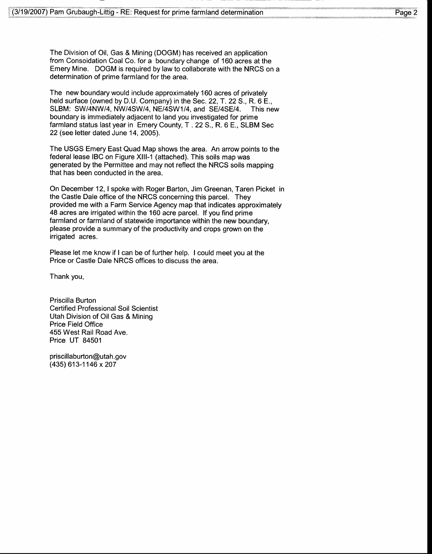The Division of Oil, Gas & Mining (DOGM) has received an application from Consoidation Coal Co. for a boundary change of 160 acres at the Emery Mine. DOGM is required by law to collaborate with the NRCS on a determination of prime farmland for the area.

The new boundary would include approximately 160 acres of privately held surface (owned by D.U. Company) in the Sec. 22, T.22 S., R. 6 E., SLBM: SW/4NW/4, NW/4SW/4, NE/4SW1/4, and SE/4SE/4. This new boundary is immediately adjacent to land you investigated for prime farmland status last year in Emery County, T .22 S., R. 6 E., SLBM Sec 22 (see letter dated June 14, 2005).

The USGS Emery East Quad Map shows the area. An arrow points to the federal lease IBC on Figure Xlll-1 (attached). This soils map was generated by the Permittee and may not reflect the NRCS soils mapping that has been conducted in the area.

On December 12, I spoke with Roger Barton, Jim Greenan, Taren Picket in the Castle Dale office of the NRCS concerning this parcel. They provided me with a Farm Service Agency map that indicates approximately 48 acres are irrigated within the 160 acre parcel. lf you find prime farmland or farmland of statewide importance within the new boundary, please provide a summary of the productivity and crops grown on the irrigated acres.

Please let me know if I can be of further help. I could meet you at the Price or Castle Dale NRCS offices to discuss the area.

Thank you,

Priscilla Burton Certified Professional Soil Scientist Utah Division of Oil Gas & Mining Price Field Office 455 West Rail Road Ave. Price UT 84501

priscillaburton@utah.gov (435) 613-1 146 x 207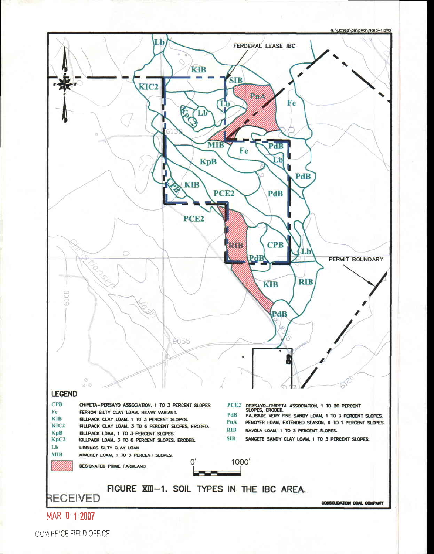



OGM PRICE FIELD OFFICE